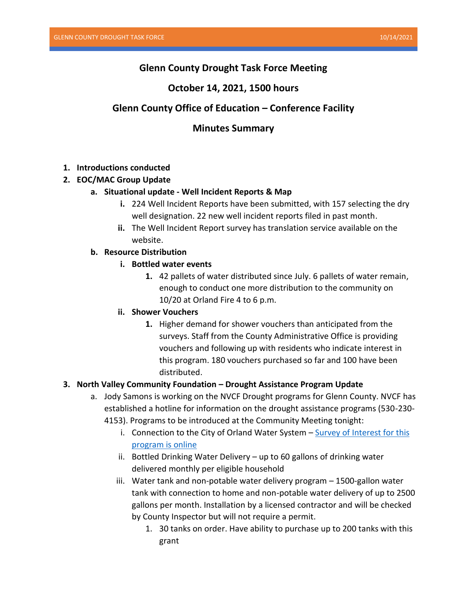# **Glenn County Drought Task Force Meeting**

## **October 14, 2021, 1500 hours**

# **Glenn County Office of Education – Conference Facility**

## **Minutes Summary**

### **1. Introductions conducted**

### **2. EOC/MAC Group Update**

#### **a. Situational update - Well Incident Reports & Map**

- **i.** 224 Well Incident Reports have been submitted, with 157 selecting the dry well designation. 22 new well incident reports filed in past month.
- **ii.** The Well Incident Report survey has translation service available on the website.

#### **b. Resource Distribution**

#### **i. Bottled water events**

**1.** 42 pallets of water distributed since July. 6 pallets of water remain, enough to conduct one more distribution to the community on 10/20 at Orland Fire 4 to 6 p.m.

#### **ii. Shower Vouchers**

**1.** Higher demand for shower vouchers than anticipated from the surveys. Staff from the County Administrative Office is providing vouchers and following up with residents who indicate interest in this program. 180 vouchers purchased so far and 100 have been distributed.

#### **3. North Valley Community Foundation – Drought Assistance Program Update**

- a. Jody Samons is working on the NVCF Drought programs for Glenn County. NVCF has established a hotline for information on the drought assistance programs (530-230-
	- 4153). Programs to be introduced at the Community Meeting tonight:
		- i. Connection to the City of Orland Water System  $-\frac{Surve}{Y}$  of Interest for this [program is online](https://forms.office.com/Pages/ResponsePage.aspx?id=tLm4xI910UKrfXq7srhj-S6mS9e_uT5PrqTJWgiqx3ZURVZaMUc4RDlPR1ROOFdOTVhITE9HUkxFSS4u&embed=true&wdLOR=cA57FC0D4-4CA7-43CB-B1FD-DB326ABB7071)
		- ii. Bottled Drinking Water Delivery up to 60 gallons of drinking water delivered monthly per eligible household
		- iii. Water tank and non-potable water delivery program 1500-gallon water tank with connection to home and non-potable water delivery of up to 2500 gallons per month. Installation by a licensed contractor and will be checked by County Inspector but will not require a permit.
			- 1. 30 tanks on order. Have ability to purchase up to 200 tanks with this grant